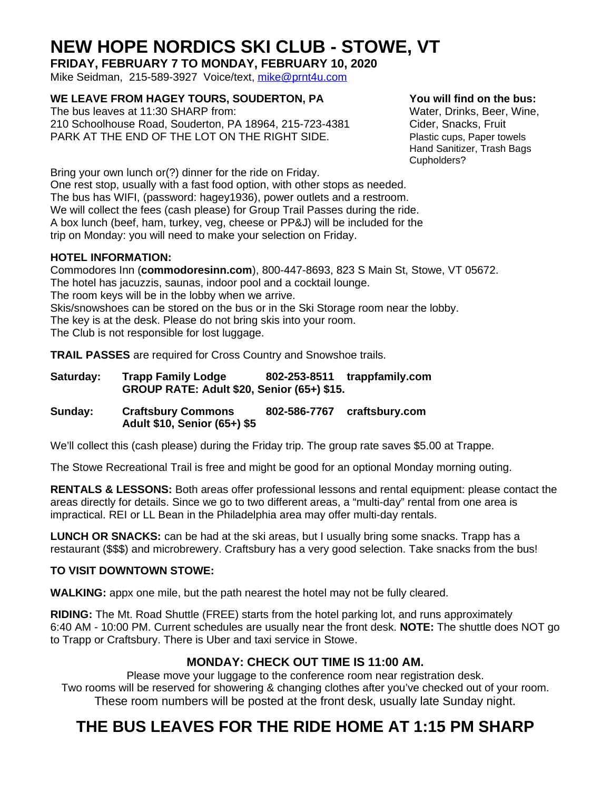## **NEW HOPE NORDICS SKI CLUB - STOWE, VT**

**FRIDAY, FEBRUARY 7 TO MONDAY, FEBRUARY 10, 2020** Mike Seidman, 215-589-3927 Voice/text, [mike@prnt4u.com](mailto:mike@prnt4u.com)

**WE LEAVE FROM HAGEY TOURS, SOUDERTON, PA You will find on the bus:**

The bus leaves at 11:30 SHARP from: Water, Drinks, Beer, Wine, 210 Schoolhouse Road, Souderton, PA 18964, 215-723-4381 Cider, Snacks, Fruit PARK AT THE END OF THE LOT ON THE RIGHT SIDE. Plastic cups, Paper towels

Hand Sanitizer, Trash Bags Cupholders?

Bring your own lunch or(?) dinner for the ride on Friday.

One rest stop, usually with a fast food option, with other stops as needed. The bus has WIFI, (password: hagey1936), power outlets and a restroom. We will collect the fees (cash please) for Group Trail Passes during the ride. A box lunch (beef, ham, turkey, veg, cheese or PP&J) will be included for the trip on Monday: you will need to make your selection on Friday.

#### **HOTEL INFORMATION:**

Commodores Inn (**commodoresinn.com**), 800-447-8693, 823 S Main St, Stowe, VT 05672. The hotel has jacuzzis, saunas, indoor pool and a cocktail lounge. The room keys will be in the lobby when we arrive. Skis/snowshoes can be stored on the bus or in the Ski Storage room near the lobby. The key is at the desk. Please do not bring skis into your room. The Club is not responsible for lost luggage.

**TRAIL PASSES** are required for Cross Country and Snowshoe trails.

| Saturday: | <b>Trapp Family Lodge</b><br>GROUP RATE: Adult \$20, Senior (65+) \$15. |              | 802-253-8511 trappfamily.com |
|-----------|-------------------------------------------------------------------------|--------------|------------------------------|
| Sunday:   | <b>Craftsbury Commons</b><br>Adult \$10, Senior (65+) \$5               | 802-586-7767 | craftsbury.com               |

We'll collect this (cash please) during the Friday trip. The group rate saves \$5.00 at Trappe.

The Stowe Recreational Trail is free and might be good for an optional Monday morning outing.

**RENTALS & LESSONS:** Both areas offer professional lessons and rental equipment: please contact the areas directly for details. Since we go to two different areas, a "multi-day" rental from one area is impractical. REI or LL Bean in the Philadelphia area may offer multi-day rentals.

**LUNCH OR SNACKS:** can be had at the ski areas, but I usually bring some snacks. Trapp has a restaurant (\$\$\$) and microbrewery. Craftsbury has a very good selection. Take snacks from the bus!

#### **TO VISIT DOWNTOWN STOWE:**

**WALKING:** appx one mile, but the path nearest the hotel may not be fully cleared.

**RIDING:** The Mt. Road Shuttle (FREE) starts from the hotel parking lot, and runs approximately 6:40 AM - 10:00 PM. Current schedules are usually near the front desk. **NOTE:** The shuttle does NOT go to Trapp or Craftsbury. There is Uber and taxi service in Stowe.

#### **MONDAY: CHECK OUT TIME IS 11:00 AM.**

Please move your luggage to the conference room near registration desk. Two rooms will be reserved for showering & changing clothes after you've checked out of your room. These room numbers will be posted at the front desk, usually late Sunday night.

### **THE BUS LEAVES FOR THE RIDE HOME AT 1:15 PM SHARP**